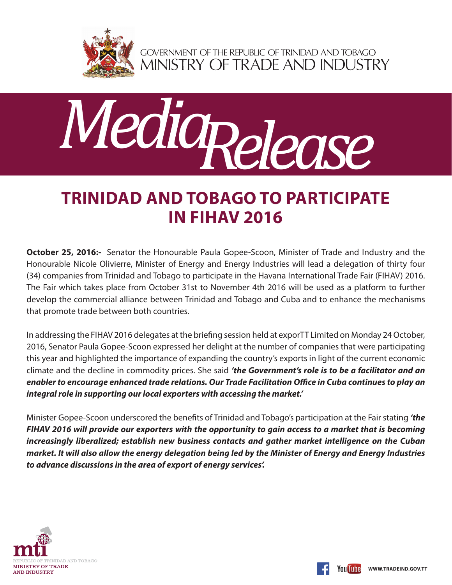

GOVERNMENT OF THE REPUBLIC OF TRINIDAD AND TOBAGO<br>MINISTRY OF TRADE AND INDUSTRY



## **TRINIDAD AND TOBAGO TO PARTICIPATE IN FIHAV 2016**

**October 25, 2016:-** Senator the Honourable Paula Gopee-Scoon, Minister of Trade and Industry and the Honourable Nicole Olivierre, Minister of Energy and Energy Industries will lead a delegation of thirty four (34) companies from Trinidad and Tobago to participate in the Havana International Trade Fair (FIHAV) 2016. The Fair which takes place from October 31st to November 4th 2016 will be used as a platform to further develop the commercial alliance between Trinidad and Tobago and Cuba and to enhance the mechanisms that promote trade between both countries.

In addressing the FIHAV 2016 delegates at the briefing session held at exporTT Limited on Monday 24 October, 2016, Senator Paula Gopee-Scoon expressed her delight at the number of companies that were participating this year and highlighted the importance of expanding the country's exports in light of the current economic climate and the decline in commodity prices. She said *'the Government's role is to be a facilitator and an enabler to encourage enhanced trade relations. Our Trade Facilitation Office in Cuba continues to play an integral role in supporting our local exporters with accessing the market.'*

Minister Gopee-Scoon underscored the benefits of Trinidad and Tobago's participation at the Fair stating *'the FIHAV 2016 will provide our exporters with the opportunity to gain access to a market that is becoming increasingly liberalized; establish new business contacts and gather market intelligence on the Cuban market. It will also allow the energy delegation being led by the Minister of Energy and Energy Industries to advance discussions in the area of export of energy services'.*